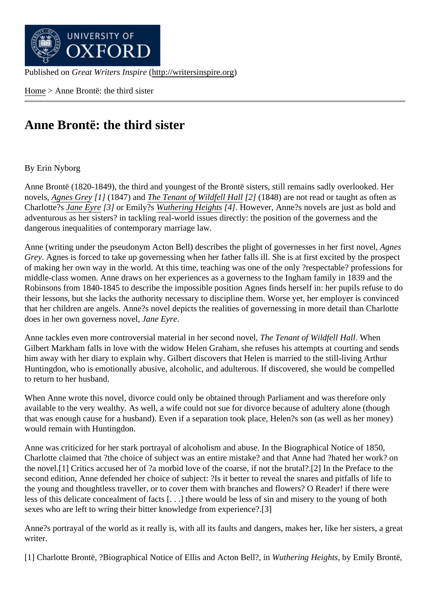Home > Anne Brontë: the third sister

## [Ann](http://writersinspire.org/)e Brontë: the third sister

## By Erin Nyborg

Anne Brontë (1820-1849), the third and youngest of the Brontë sisters, still remains sadly overlooked. Her novels, Agnes Grey<sup>1</sup>] (1847) and The Tenant of Wildfell Hall<sup>2</sup>] (1848) are not read or taught as often as Charlotte?s Jane Eyre 3] or Emily?s Wuthering Height\$4]. However, Anne?s novels are just as bold and adventurous as her sisters? in tackling real-world issues directly: the position of the governess and the dange[rous inequa](http://writersinspire.podcasts.ox.ac.uk/content/agnes-grey)lities of conte[mporary marriage law.](http://writersinspire.podcasts.ox.ac.uk/content/tenant-wildfell-hall)

Anne (writi[ng under](http://writersinspire.org/content/jane-eyre) the pseudony[m Acton Bell\) desc](http://writersinspire.org/content/wuthering-heights-0)ribes the plight of governesses in her first novel, Grey. Agnes is forced to take up governessing when her father falls ill. She is at first excited by the prospect of making her own way in the world. At this time, teaching was one of the only ?respectable? professions for middle-class women. Anne draws on her experiences as a governess to the Ingham family in 1839 and the Robinsons from 1840-1845 to describe the impossible position Agnes finds herself in: her pupils refuse to do their lessons, but she lacks the authority necessary to discipline them. Worse yet, her employer is convinced that her children are angels. Anne?s novel depicts the realities of governessing in more detail than Charlotte does in her own governess novelne Eyre.

Anne tackles even more controversial material in her second not all enant of Wildfell Hall When Gilbert Markham falls in love with the widow Helen Graham, she refuses his attempts at courting and sends him away with her diary to explain why. Gilbert discovers that Helen is married to the still-living Arthur Huntingdon, who is emotionally abusive, alcoholic, and adulterous. If discovered, she would be compelled to return to her husband.

When Anne wrote this novel, divorce could only be obtained through Parliament and was therefore only available to the very wealthy. As well, a wife could not sue for divorce because of adultery alone (though that was enough cause for a husband). Even if a separation took place, Helen?s son (as well as her money) would remain with Huntingdon.

Anne was criticized for her stark portrayal of alcoholism and abuse. In the Biographical Notice of 1850, Charlotte claimed that ?the choice of subject was an entire mistake? and that Anne had ?hated her work? on the novel.[1] Critics accused her of ?a morbid love of the coarse, if not the brutal?.[2] In the Preface to the second edition, Anne defended her choice of subject: ?Is it better to reveal the snares and pitfalls of life to the young and thoughtless traveller, or to cover them with branches and flowers? O Reader! if there were less of this delicate concealment of facts [. . .] there would be less of sin and misery to the young of both sexes who are left to wring their bitter knowledge from experience?.[3]

Anne?s portrayal of the world as it really is, with all its faults and dangers, makes her, like her sisters, a great writer.

[1] Charlotte Brontë, ?Biographical Notice of Ellis and Acton Bell?, Vinthering Heightsby Emily Brontë,